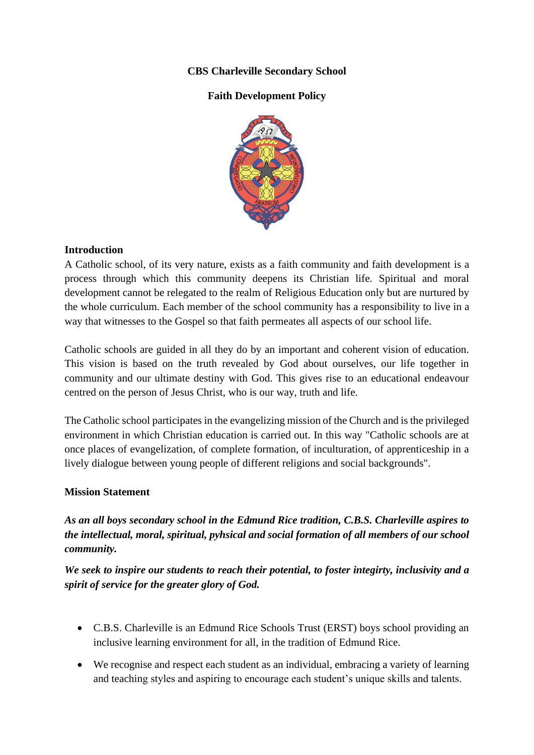# **CBS Charleville Secondary School**

# **Faith Development Policy**



## **Introduction**

A Catholic school, of its very nature, exists as a faith community and faith development is a process through which this community deepens its Christian life. Spiritual and moral development cannot be relegated to the realm of Religious Education only but are nurtured by the whole curriculum. Each member of the school community has a responsibility to live in a way that witnesses to the Gospel so that faith permeates all aspects of our school life.

Catholic schools are guided in all they do by an important and coherent vision of education. This vision is based on the truth revealed by God about ourselves, our life together in community and our ultimate destiny with God. This gives rise to an educational endeavour centred on the person of Jesus Christ, who is our way, truth and life.

The Catholic school participates in the evangelizing mission of the Church and is the privileged environment in which Christian education is carried out. In this way "Catholic schools are at once places of evangelization, of complete formation, of inculturation, of apprenticeship in a lively dialogue between young people of different religions and social backgrounds".

## **Mission Statement**

*As an all boys secondary school in the Edmund Rice tradition, C.B.S. Charleville aspires to the intellectual, moral, spiritual, pyhsical and social formation of all members of our school community.*

*We seek to inspire our students to reach their potential, to foster integirty, inclusivity and a spirit of service for the greater glory of God.*

- C.B.S. Charleville is an Edmund Rice Schools Trust (ERST) boys school providing an inclusive learning environment for all, in the tradition of Edmund Rice.
- We recognise and respect each student as an individual, embracing a variety of learning and teaching styles and aspiring to encourage each student's unique skills and talents.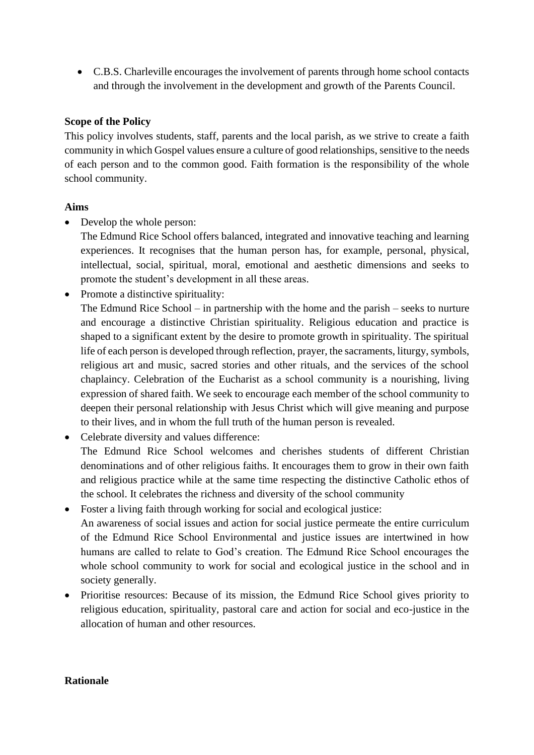• C.B.S. Charleville encourages the involvement of parents through home school contacts and through the involvement in the development and growth of the Parents Council.

#### **Scope of the Policy**

This policy involves students, staff, parents and the local parish, as we strive to create a faith community in which Gospel values ensure a culture of good relationships, sensitive to the needs of each person and to the common good. Faith formation is the responsibility of the whole school community.

#### **Aims**

• Develop the whole person:

The Edmund Rice School offers balanced, integrated and innovative teaching and learning experiences. It recognises that the human person has, for example, personal, physical, intellectual, social, spiritual, moral, emotional and aesthetic dimensions and seeks to promote the student's development in all these areas.

• Promote a distinctive spirituality:

The Edmund Rice School – in partnership with the home and the parish – seeks to nurture and encourage a distinctive Christian spirituality. Religious education and practice is shaped to a significant extent by the desire to promote growth in spirituality. The spiritual life of each person is developed through reflection, prayer, the sacraments, liturgy, symbols, religious art and music, sacred stories and other rituals, and the services of the school chaplaincy. Celebration of the Eucharist as a school community is a nourishing, living expression of shared faith. We seek to encourage each member of the school community to deepen their personal relationship with Jesus Christ which will give meaning and purpose to their lives, and in whom the full truth of the human person is revealed.

• Celebrate diversity and values difference:

The Edmund Rice School welcomes and cherishes students of different Christian denominations and of other religious faiths. It encourages them to grow in their own faith and religious practice while at the same time respecting the distinctive Catholic ethos of the school. It celebrates the richness and diversity of the school community

- Foster a living faith through working for social and ecological justice: An awareness of social issues and action for social justice permeate the entire curriculum of the Edmund Rice School Environmental and justice issues are intertwined in how humans are called to relate to God's creation. The Edmund Rice School encourages the whole school community to work for social and ecological justice in the school and in society generally.
- Prioritise resources: Because of its mission, the Edmund Rice School gives priority to religious education, spirituality, pastoral care and action for social and eco-justice in the allocation of human and other resources.

#### **Rationale**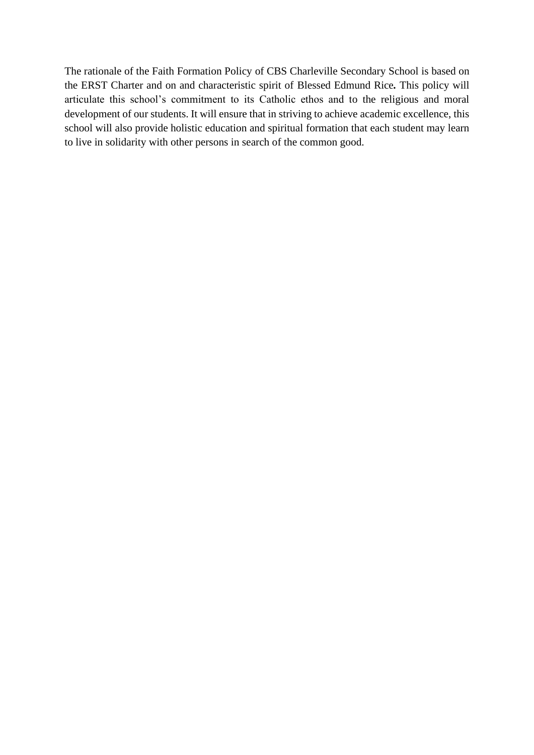The rationale of the Faith Formation Policy of CBS Charleville Secondary School is based on the ERST Charter and on and characteristic spirit of Blessed Edmund Rice*.* This policy will articulate this school's commitment to its Catholic ethos and to the religious and moral development of our students. It will ensure that in striving to achieve academic excellence, this school will also provide holistic education and spiritual formation that each student may learn to live in solidarity with other persons in search of the common good.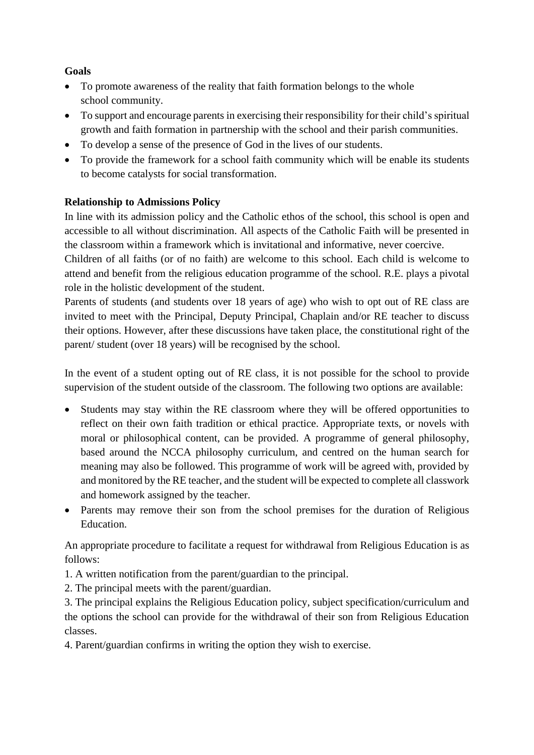# **Goals**

- To promote awareness of the reality that faith formation belongs to the whole school community.
- To support and encourage parents in exercising their responsibility for their child's spiritual growth and faith formation in partnership with the school and their parish communities.
- To develop a sense of the presence of God in the lives of our students.
- To provide the framework for a school faith community which will be enable its students to become catalysts for social transformation.

# **Relationship to Admissions Policy**

In line with its admission policy and the Catholic ethos of the school, this school is open and accessible to all without discrimination. All aspects of the Catholic Faith will be presented in the classroom within a framework which is invitational and informative, never coercive.

Children of all faiths (or of no faith) are welcome to this school. Each child is welcome to attend and benefit from the religious education programme of the school. R.E. plays a pivotal role in the holistic development of the student.

Parents of students (and students over 18 years of age) who wish to opt out of RE class are invited to meet with the Principal, Deputy Principal, Chaplain and/or RE teacher to discuss their options. However, after these discussions have taken place, the constitutional right of the parent/ student (over 18 years) will be recognised by the school.

In the event of a student opting out of RE class, it is not possible for the school to provide supervision of the student outside of the classroom. The following two options are available:

- Students may stay within the RE classroom where they will be offered opportunities to reflect on their own faith tradition or ethical practice. Appropriate texts, or novels with moral or philosophical content, can be provided. A programme of general philosophy, based around the NCCA philosophy curriculum, and centred on the human search for meaning may also be followed. This programme of work will be agreed with, provided by and monitored by the RE teacher, and the student will be expected to complete all classwork and homework assigned by the teacher.
- Parents may remove their son from the school premises for the duration of Religious Education.

An appropriate procedure to facilitate a request for withdrawal from Religious Education is as follows:

- 1. A written notification from the parent/guardian to the principal.
- 2. The principal meets with the parent/guardian.

3. The principal explains the Religious Education policy, subject specification/curriculum and the options the school can provide for the withdrawal of their son from Religious Education classes.

4. Parent/guardian confirms in writing the option they wish to exercise.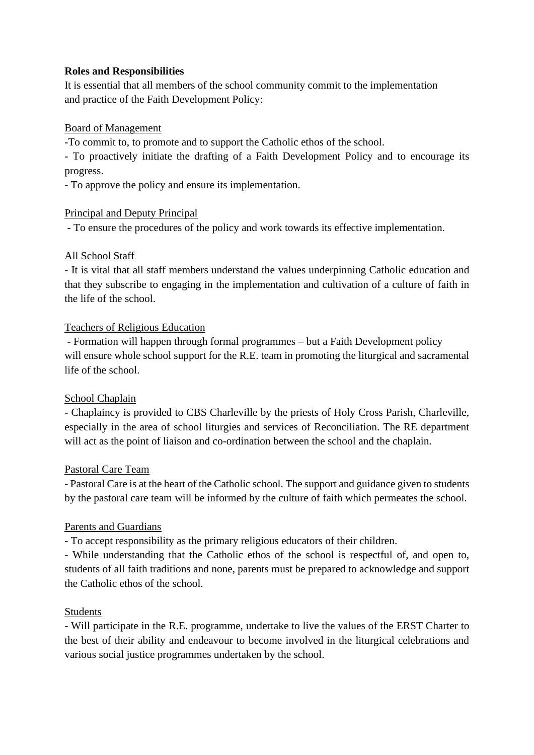# **Roles and Responsibilities**

It is essential that all members of the school community commit to the implementation and practice of the Faith Development Policy:

# Board of Management

-To commit to, to promote and to support the Catholic ethos of the school.

- To proactively initiate the drafting of a Faith Development Policy and to encourage its progress.

- To approve the policy and ensure its implementation.

# Principal and Deputy Principal

- To ensure the procedures of the policy and work towards its effective implementation.

# All School Staff

- It is vital that all staff members understand the values underpinning Catholic education and that they subscribe to engaging in the implementation and cultivation of a culture of faith in the life of the school.

# Teachers of Religious Education

- Formation will happen through formal programmes – but a Faith Development policy will ensure whole school support for the R.E. team in promoting the liturgical and sacramental life of the school.

# School Chaplain

- Chaplaincy is provided to CBS Charleville by the priests of Holy Cross Parish, Charleville, especially in the area of school liturgies and services of Reconciliation. The RE department will act as the point of liaison and co-ordination between the school and the chaplain.

## Pastoral Care Team

- Pastoral Care is at the heart of the Catholic school. The support and guidance given to students by the pastoral care team will be informed by the culture of faith which permeates the school.

## Parents and Guardians

- To accept responsibility as the primary religious educators of their children.

- While understanding that the Catholic ethos of the school is respectful of, and open to, students of all faith traditions and none, parents must be prepared to acknowledge and support the Catholic ethos of the school.

# Students

- Will participate in the R.E. programme, undertake to live the values of the ERST Charter to the best of their ability and endeavour to become involved in the liturgical celebrations and various social justice programmes undertaken by the school.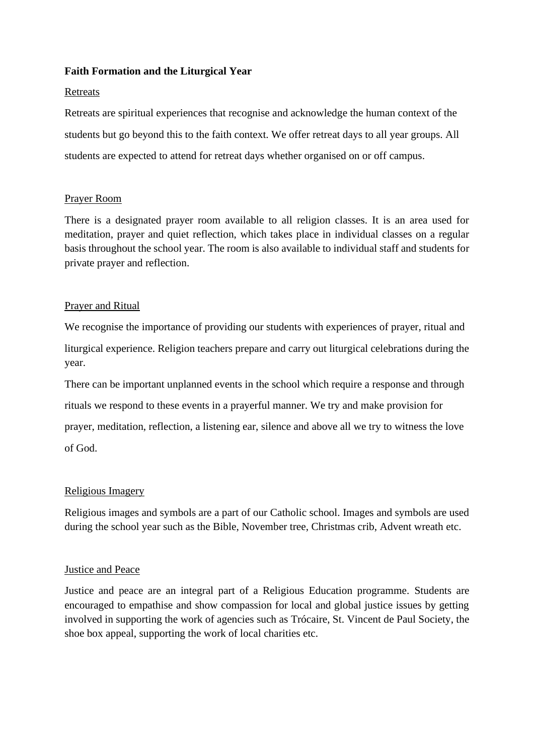#### **Faith Formation and the Liturgical Year**

#### Retreats

Retreats are spiritual experiences that recognise and acknowledge the human context of the students but go beyond this to the faith context. We offer retreat days to all year groups. All students are expected to attend for retreat days whether organised on or off campus.

## Prayer Room

There is a designated prayer room available to all religion classes. It is an area used for meditation, prayer and quiet reflection, which takes place in individual classes on a regular basis throughout the school year. The room is also available to individual staff and students for private prayer and reflection.

## Prayer and Ritual

We recognise the importance of providing our students with experiences of prayer, ritual and liturgical experience. Religion teachers prepare and carry out liturgical celebrations during the year.

There can be important unplanned events in the school which require a response and through rituals we respond to these events in a prayerful manner. We try and make provision for prayer, meditation, reflection, a listening ear, silence and above all we try to witness the love of God.

## Religious Imagery

Religious images and symbols are a part of our Catholic school. Images and symbols are used during the school year such as the Bible, November tree, Christmas crib, Advent wreath etc.

#### Justice and Peace

Justice and peace are an integral part of a Religious Education programme. Students are encouraged to empathise and show compassion for local and global justice issues by getting involved in supporting the work of agencies such as Trócaire, St. Vincent de Paul Society, the shoe box appeal, supporting the work of local charities etc.